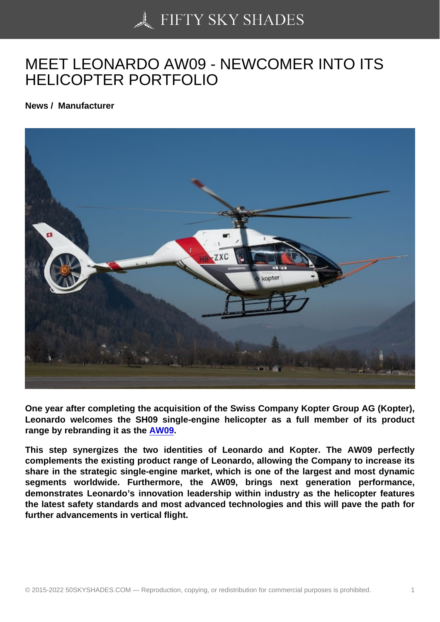## [MEET LEONARDO AW](https://50skyshades.com)09 - NEWCOMER INTO ITS HELICOPTER PORTFOLIO

News / Manufacturer

One year after completing the acquisition of the Swiss Company Kopter Group AG (Kopter), Leonardo welcomes the SH09 single-engine helicopter as a full member of its product range by rebranding it as the AW09.

This step synergizes the two identities of Leonardo and Kopter. The AW09 perfectly complements the existing product range of Leonardo, allowing the Company to increase its share in the strategic single-e[ngine m](https://www.leonardocompany.com/en/products/aw09)arket, which is one of the largest and most dynamic segments worldwide. Furthermore, the AW09, brings next generation performance, demonstrates Leonardo's innovation leadership within industry as the helicopter features the latest safety standards and most advanced technologies and this will pave the path for further advancements in vertical flight.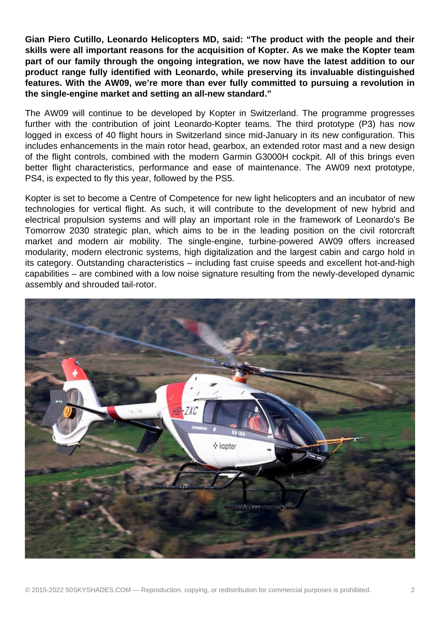**Gian Piero Cutillo, Leonardo Helicopters MD, said: "The product with the people and their skills were all important reasons for the acquisition of Kopter. As we make the Kopter team part of our family through the ongoing integration, we now have the latest addition to our product range fully identified with Leonardo, while preserving its invaluable distinguished features. With the AW09, we're more than ever fully committed to pursuing a revolution in the single-engine market and setting an all-new standard."** 

The AW09 will continue to be developed by Kopter in Switzerland. The programme progresses further with the contribution of joint Leonardo-Kopter teams. The third prototype (P3) has now logged in excess of 40 flight hours in Switzerland since mid-January in its new configuration. This includes enhancements in the main rotor head, gearbox, an extended rotor mast and a new design of the flight controls, combined with the modern Garmin G3000H cockpit. All of this brings even better flight characteristics, performance and ease of maintenance. The AW09 next prototype, PS4, is expected to fly this year, followed by the PS5.

Kopter is set to become a Centre of Competence for new light helicopters and an incubator of new technologies for vertical flight. As such, it will contribute to the development of new hybrid and electrical propulsion systems and will play an important role in the framework of Leonardo's Be Tomorrow 2030 strategic plan, which aims to be in the leading position on the civil rotorcraft market and modern air mobility. The single-engine, turbine-powered AW09 offers increased modularity, modern electronic systems, high digitalization and the largest cabin and cargo hold in its category. Outstanding characteristics – including fast cruise speeds and excellent hot-and-high capabilities – are combined with a low noise signature resulting from the newly-developed dynamic assembly and shrouded tail-rotor.